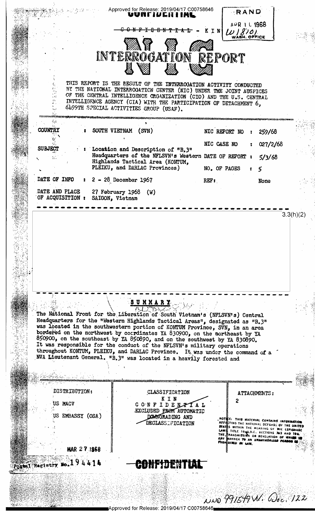

Approved for Release: 2019/04/17 C00758646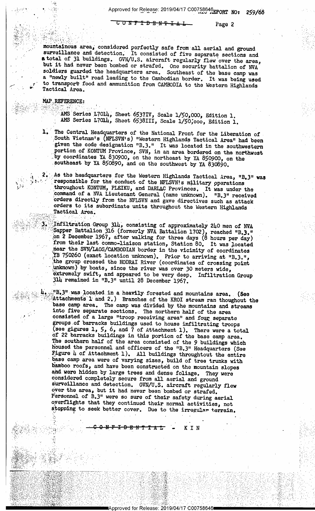CONFIDE<del>NTIAL</del> Page 2

<sup>1</sup> \ ?:s\$?,\_,,.,\\_" '1-s

' - v

' " ;{ mountainous area, considered perfectly safe from all aerial and ground surveillance and detection; It consisted of five separate sections and atotal of 31 buildings. GVN/U.S. aircraft regularly flew'over the area, but it had never been bombed or strafed. One security battalion of  $NVA$ soldiers guarded the headquarters area. Southeast of the base camp was a "newly built" road leading to the Cambodian border. It was being used to transport food and ammunition from CAMBODIA to the Western Highlands Tactical Area.

## $\mathbf{MAP}$ , REFERENCE:  $\mathbf{Q} = \mathbf{Q}$

.--.14» —r ,- .. -.' - -¢ . V-\_\_.->..'.~.».;..v.-\_ ~,\_ ' '

1" .

<sup>I</sup><sup>1</sup><sup>4</sup>--".'~C.I"l'.4 -' I'

 $\cdot$  . k

<sup>~</sup>\_' :\-. .:;'~1-§ \_1

"'--.7#,.\;\*-.Y,'=1'\*\*~=<\*»

1:? :;~<

.:-;..~-:;.1~,~.p=»~.~-.¢r~\$;-,=.':< .-:'#.'r|~n -> .-, -- ~,- -> --A .

:»\_,:',\\_-,§;,;:\_.,:;.,.=»,-:»~,,w\_l-@1555, 4=\_,\_;»;,§5.,\_¢»§\_}f';-'Q3,-F;;\_,\_\_;\_v;-9:-\_) ., 1 ».~ Q -. '; -. <sup>&</sup>lt;

; - -

T |.-

3'1,'-.4 . 27,.'  $\frac{1}{2}$ 

'

 $^{\prime}$   $^{\prime}$ 

' '

 $\mathbb{R}$  is a strongly  $\mathbb{R}$  . The set . :,\--\=».~:,---U... '- ~\_--.;j~§;:\_';;,;;;§§\_§,,~»'g',;\_|j',\_.\;

> \ ' r 1» ' »:;~ .-,~-: 1:.-~\*.;

L

 $2.7:$   $6.93:$   $2.9:$   $2.2:$   $2.2:$ 

 $\cdots$  )  $\cdots$   $\cdots$ 

:2-2»:-:~ 1-=';r.'.;

:.»15'5'-L.'--';-,.;\*'-; '.=- 'g

 $\sim$  ,  $\sim$  ,  $\sim$  ,  $\sim$  ,  $\sim$  ,  $\sim$  ,  $\sim$  ,  $\sim$  ,  $\sim$  ,  $\sim$  ,  $\sim$  ,  $\sim$  ,  $\sim$  ,  $\sim$  ,  $\sim$  ,  $\sim$  ,  $\sim$  ,  $\sim$  ,  $\sim$  ,  $\sim$  ,  $\sim$  ,  $\sim$  ,  $\sim$  ,  $\sim$  ,  $\sim$  ,  $\sim$  ,  $\sim$  ,  $\sim$  ,  $\sim$  ,  $\sim$  ,  $\sim$  ,  $\sim$ 

, ,,;~- , , ~ .

 $\lambda_i$ 

.~:=.»2;::.-:-:.1,=='>'.';=.» >"..=~.- 1- . -- -

.<br>" अन्य स्थापिक क

-(1 " 1 " ) = (1 " ) = (1 " ) = (1 " ) = (1 " ) = (1 " ) = (1 " ) = (1 " ) = (1 " ) = (1 " ) = (1 " ) = (1 " )<br>-(1 " ) = (1 " ) = (1 " ) = (1 " ) = (1 " ) = (1 " ) = (1 " ) = (1 " ) = (1 " ) = (1 " ) = (1 " ) = (1 " ) = (

pad the second control of the second of the second of the second of the second of the second second or the second second second second second second second second second second second second second second second second se

' k ... 4-\_»\_ \_,.-.-~:.,!-,1» .

\ .-, z-u.-,-\_ ..,...~,; -,- ;..\_":\_'I/1;:§3X~'§'£'}A'};§,'r5%,:-.;»-,-gr >\_ .- - 4: -' - >. - : < ;- ~' .. .- »;~:'-\~,, ;,\_~-..':-..'.,,- . \- -

 $\cdots$  .

; . .-: - " ' '

 $\mathbb{R}^n$  is variable to  $\mathbb{R}^n$  .  $\mathbb{R}^n$  if  $\mathbb{R}^n$  if  $\mathbb{R}^n$  if  $\mathbb{R}^n$  if  $\mathbb{R}^n$  if  $\mathbb{R}^n$  if  $\mathbb{R}^n$  if  $\mathbb{R}^n$  if  $\mathbb{R}^n$  if  $\mathbb{R}^n$  if  $\mathbb{R}^n$  if  $\mathbb{R}^n$  if  $\mathbb{R}^n$  if ▒※ ※ ※ ※ ※ ※ ※ ※ <del> > > \* > + > A</del> A + + A + - - A + N

, ,\_' ;~r , . \_1 ; .

 $\gg$  , which is a set of  $\sim$  . The set of  $\sim$  , we have the set of  $\sim$  .

' ' v- "~n'. .:,,;'r=~ - » -

1\_ .

<sup>~</sup> - -{rim H ,' -. .,.\_ ':1'-v-1'31-' -'-' ., - '

 $\mathcal{H} \times \mathcal{H} \times \mathcal{H} \times \mathcal{H} \times \mathcal{H} \times \mathcal{H} \times \mathcal{H} \times \mathcal{H}$ 

. ~ <sup>z</sup>

1

||GARAN : 1921||COMBA 1943

":\_f'» ,\ ,1)', .

I'  $230^{\circ}$  .

1

 $F_{\rm AMS}$  ams Series L7014, Sheet 6537IV, Scale 1/50,000, Edition 1. AMS Series L7014, Sheet 6538III, Scale 1/50,000, Edition 1.

' - - '

The Central Headquarters of the National Front for the Liberation of<br>South Vietnam's (NFLSVN's) "Western Highlands Tactical Area" had been given the code designation "B.3." It was located in the southwestern portion of KONTUM Province, SVN, in an area bordered on the northwest by coordinates YA 830900, on the northeast by YA 850900, on the southeast by YA 850890, and on the southwest by YA 830890.

2. As the headquarters for the Western Highlands Tactical Area, "B.3" was responsible for the conduct of the NFLSVN!s military operations throughout KONTUM, PLEIKU, and DARLAC Provinces. It was under the command of a NVA Lieutenant General (name unknown). "B.3" received orders directly from the NFLSVN and gave directives such as attack orders to its subordinate units throughout the Western Highlands Tactical Area.

3. Infiltration Group 31h, consisting of approximately 2h0 men of NVA (Sapper Battalion 316 (formerly NVA Battalion 1702), reached "B.3." from their last commo-liaison station, Station 80. It was located<br>near the SVN/LAOS/CAMBODIAN border in the vicinity of coordinates<br>EB 750260 (exact location unknown). Prior to arriving at "B.3.",<br>the group crossed the HOD unknown) by boats, since the river was over 30 meters wide,  $\overline{\text{o}}$  extremely swift, and appeared to be very deep. Infiltration Group  $\frac{3\mu}{2}$  remained in "B.3" until 28 December 1967.

> "B.3" was located in a heavily forested and mountains area. (See Attachments 1 and 2.) Branches of the KROI stream ran thoughout the base camp area. The camp was divided by the mountains and streams into five separate sec The southern half of the area consisted of the 9 buildings which<br>housed the personnel and officers of the "B.3" Headquarters (See<br>Figure 4 of Attachment 1). All buildings throughtout the entire<br>base camp area were of varyi

 $\frac{1}{2}$ 

" ~ ;'»;..-=~'.:~,-»-=\*§-;-- ~- .. -K - ~ -

P'-\_-1'; =~- '.1 \_\_, >.;.=:.-'.- ",'-¢I'.-.»;".-lit-\_.'.' -\ 1 ::~ .

\" '1

. \_=- '----=,~:. "--.',- . ., <sup>~</sup>

 $\frac{1}{2}$  ,  $\frac{1}{2}$  ,  $\frac{1}{2}$  ,  $\frac{1}{2}$  ,  $\frac{1}{2}$  ,  $\frac{1}{2}$  ,  $\frac{1}{2}$  ,  $\frac{1}{2}$  ,  $\frac{1}{2}$  ,  $\frac{1}{2}$  ,  $\frac{1}{2}$  ,  $\frac{1}{2}$  ,  $\frac{1}{2}$  ,  $\frac{1}{2}$  ,  $\frac{1}{2}$  ,  $\frac{1}{2}$  ,  $\frac{1}{2}$  ,  $\frac{1}{2}$  ,  $\frac{1$ 

' ' ' '

.

. . " I '. ,,

- '

, <sup>4</sup>

0 - 1 - 1 1 - 1 1 - 1 1 - 1 1 - 1 1 - 1 1 - 1 1 - 1 1 - 1 1 - 1 1 - 1 1 - 1 1 - 1 1 - 1 1 - 1 1 - 1 1 - 1 1 -

.~ - - .-

» -~ 4- <sup>=</sup>

<sup>~</sup>- '

- ,3 . ~ . \_» A' J' \_ y; ;\_ g . <sup>V</sup>

- .< - -

. . ., .- '- » ~»,',-"-,'~ - <sup>~</sup>'» > -~ <sup>4</sup>

. ., . »,1: = ». .

"~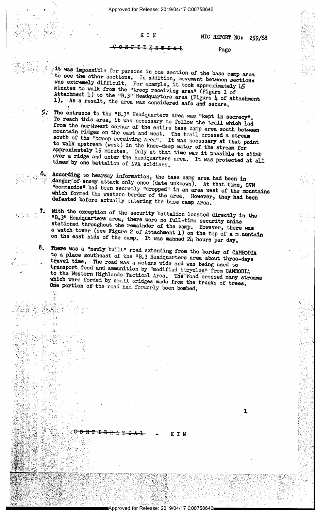## . <sup>~</sup>K 1; 1;

7

<sup>r</sup> ¢

<sup>L</sup>\_. \_

-7:.'  $^\circ$  . . ,..  $\mu$  ,  $\mu$  be a basic function of  $\mu$ 1' '. » .  $-1.5$  .  $-1.5$  ,  $-1.5$ 1- <sup>r</sup>-1,3.' 1.3 \_"\_  $\mathcal{G}(\cdot)$  is

2

(2

,  $\sim$ V I. \_-\1.».  $\mathbb{Z}/\mathbb{Z}$  .

\_ \$ . - <sup>e</sup>

 $\frac{1}{2}$  ,  $\frac{1}{2}$  ,  $\frac{1}{2}$  ,  $\frac{1}{2}$  ,  $\frac{1}{2}$  ,  $\frac{1}{2}$  ,  $\frac{1}{2}$  ,  $\frac{1}{2}$  ,  $\frac{1}{2}$  ,  $\frac{1}{2}$  ,  $\frac{1}{2}$  ,  $\frac{1}{2}$  ,  $\frac{1}{2}$  ,  $\frac{1}{2}$  ,  $\frac{1}{2}$  ,  $\frac{1}{2}$  ,  $\frac{1}{2}$  ,  $\frac{1}{2}$  ,  $\frac{1$ 

'~.'\_\_;u-'=4>"..,,=.,'.'.. r;~'.,; 4 " ' '

 $\mathbb{H}^n_\mathbb{R}$  , the set of  $\mathbb{R}^n$  . The set of  $\mathbb{R}^n$  is the set of  $\mathbb{R}^n$ 

~\\_»=;.',€%~:-.'rf;f:'}:v',(|»§,§\*--:,>.,,;E~ g 5%' --' V <sup>I</sup>,~ \_ 4 'Q -

.-IE1"-'-IT-'."..= ' "'7§F<

;;;'a},r.,=,'i;(\_:.,'\ .\_ ;;a\_-r\_~.'\_-1.-,--.;-4-.2-..;.;;;.Jz\_,m\_'.,.,;;,,\_\_;>;\_\_- ,1,-v;-~ ,,-

:'\* 7 '.. .aG\\_\_ £¢.g'zQ'§~ 31;. 1,», J» -r\_'.,--\_4,..;:\_»\_\_»-\_ \_  $\mathbb{Z}_2^2 \mathbb{Z}_2^2 \mathbb{Z}_2^2 \mathbb{Z}_2^2 \mathbb{Z}_2^2 \mathbb{Z}_2^2 \mathbb{Z}_2^2 \mathbb{Z}_2^2 \mathbb{Z}_2^2 \mathbb{Z}_2^2 \mathbb{Z}_2^2 \mathbb{Z}_2^2 \mathbb{Z}_2^2 \mathbb{Z}_2^2 \mathbb{Z}_2^2 \mathbb{Z}_2^2 \mathbb{Z}_2^2 \mathbb{Z}_2^2 \mathbb{Z}_2^2 \mathbb{Z}_2^2 \mathbb{Z}_2^2 \mathbb{Z}_2^2 \mathbb{Z}_2^2 \mathbb{Z}_2^2 \mathbb{$ 

5-%£~s.\*!%"§'31,A\PI?'§',5~"-1'.\ =:-f¢-?n;=- ::.?=:'\_a-;-»';,'~'-..»\_=- -1.'-3:.

, '-.=----.~..--;,\_= 3.-,-'.= .~» 1;»? ;- <sup>&</sup>gt;'-:~, =-\_= -~

.2 I,-;r~.:;-, ;,¢",~5x;,-.' ,1-'.;\_-\_~-..-7 ~q.-1,\_ -,-.-'7, --; -\_.< \_.-~\_-I . -. -2;.'-:;¢==<...< ¢-- - . V-~.~~=

-¢#< »" <sup>s</sup>\. ,

 $\ell=\mathfrak{m}$  . A

' '6 --'-1 .

-<br>::/in:-:*...........................* 

I'M. YA NASA NA NASA NA MANA NA NASA NA MANGUNA NA MANGUNA NA MANGUNA NA MANGUNA NA NA NA MANGUNA NA MANGUNA N<br>I Sing na manguna na manguna na manguna na manguna na manguna na manguna na manguna na manguna na manguna na m

\* 1a,.» ,.. .,... .r..-.-...4.\_.\_.. -l <sup>W</sup>

/ .'J.,¢;:\*.,,,,'\_—...., ,, ,,;. ;, -'\_~,.,,.)§'\_. ,,x.§1\_.., ,, '

Q.

 $-1.39$  -below the second control of the second control of  $\mathcal{A}_1$  ,  $\mathcal{A}_2$  ,  $\mathcal{A}_3$  ,  $\mathcal{A}_4$  ,  $\mathcal{A}_5$  ,  $\mathcal{A}_6$  ,  $\mathcal{A}_7$  ,  $\mathcal{A}_8$  ,  $\mathcal{A}_9$  ,  $\mathcal{A}_9$  ,  $\mathcal{A}_9$  ,  $\mathcal{A}_9$  ,  $\mathcal{A}_9$  ,  $\mathcal{A$ 

'~1' '-=#='; .- "\*1" .-. < r '- " " \$1 .'.. . <sup>q</sup> , 1'! <sup>I</sup>nu.' ',4\,,\_§ ~.- ' -'Eu "2"-' \$5» F ~,!»v,. "err.-R" 1~;':;~.E=',4 <sup>5</sup>"';'-'q,""-~&'}~;, :,>1<,=,- \*\_ -.7;;'~'¢ .' In', .~ (L-I:-w~%;:'n~-T. <.,;1- ' ,'; 3"; f.'a,,\*\*%'\$:-g;»"r .11'-='.:.=?~ -. ; v \*1

f;i1;.!.\_3>v-.f\_ -\_., '\_;.\_~\_5,,\_:15~=,\_.v»\_»\_-"\_'-'f'-, .;..;:;,\_;~'j;\_1;;,\_.,\_,n<\_;.:

.

'gyang tanggal na taun 1980 at taun 1980 at taun 1980 at taun 1980 at taun 1980 at taun 1980 at taun 1980 at t<br>San taun 1980 at taun 1980 at taun 1980 at taun 1980 at taun 1980 at taun 1980 at taun 1980 at taun 1980 at t<br>S

 $\mathcal{R}^{\text{max}}_{\text{max}}$  .  $\mathcal{R}^{\text{max}}_{\text{max}}$  ,  $\mathcal{R}^{\text{max}}_{\text{max}}$  ,  $\mathcal{R}^{\text{max}}_{\text{max}}$  ,  $\mathcal{R}^{\text{max}}_{\text{max}}$  ,  $\mathcal{R}^{\text{max}}_{\text{max}}$ 

 $\mathcal{A}$  , and the set of  $\mathcal{A}$ 

(I 47, A 34, A 44 Iv 4. "'

> ( 4  $\sim 9$   $\mu$

 $7.7\%$ 

 $f\in\mathbf{R}$  ,  $f\in\mathbf{R}$  ,  $f\in\mathbf{R}$  ,  $f\in\mathbf{R}$  ,  $f\in\mathbf{R}$  ,  $f\in\mathbf{R}$  ,  $f\in\mathbf{R}$  ,  $f\in\mathbf{R}$ , ,1999, ,1999, ,1999, ,1999, ,1999, ,1999, ,1999, ,1999, ,1999, ,1999, ,1999, ,1999, ,1999, ,1999, ,  $.166$ ; $.257$  ,  $.76$  ,  $.744$   $.66$ 

efination in the set of state  $\mathcal{L}_1$ 

 $\mathcal{C} \subset \mathcal{C} \subset \mathcal{C}$  , where  $\mathcal{C} \subset \mathcal{C}$ 5'. -\_\_,\'.,. ,,\_,.\_.L' ..\_.v,: 3 <sup>1</sup>

w 'J ,..\_, .-. . . <sup>w</sup> , ,\_-1 L <sup>I</sup>

i,

r

T

-.

'7

:'.'y?;" P

"

;

as

## NIC REPORT NO: 259/68

"' .\_\_,. n .\_,...

 $\gamma$  ). The state of  $\gamma$  is the state of  $\gamma$  is the state of  $\gamma$ 

"3 - " '

-.1' 3" :13 1-'2 '-'

. .. .

 $\cdot\cdot\cdot$   $\cdot\cdot\cdot$ 

-'9

>» . \_ ».'

\_ »\_

' '

 $\mathcal{R}$  is a substitute of  $\mathcal{R}$  ,  $\mathcal{R}$  ,  $\mathcal{R}$  ,  $\mathcal{R}$  ,  $\mathcal{R}$  ,  $\mathcal{R}$  ,  $\mathcal{R}$  ,  $\mathcal{R}$  ,  $\mathcal{R}$  ,  $\mathcal{R}$  ,  $\mathcal{R}$  ,  $\mathcal{R}$  ,  $\mathcal{R}$  ,  $\mathcal{R}$  ,  $\mathcal{R}$  ,  $\mathcal{R}$  ,  $\mathcal{R}$  ,  $\mathcal{R$ 

 $\mathcal{L}(\mathcal{L}^{\mathcal{L}})$  , we are the set of  $\mathcal{L}^{\mathcal{L}}$ 

. . . .

",9 -" -'I .-'

} . . \_ .

KIN

<sup>r</sup>"1

=' '-ffij " -' -

Approved for Release: 2019/04/17 C00758646

, . .. \_

 $\overline{1}$  D E N T I A 1, Page

 $\frac{1}{2}$  ;  $\frac{1}{2}$  was impossible for persons in one section of the base camp area ' to see the other sections. In addition movement between area ¢was extremely difficult. see the other sections. In addition, movement between sections extremely difficult. For example  $A + A$ minutes to walk from the "troop receiving area" (Figure 1 of ~l). -As Attachment 1) to the "B.3" Headquarters area (Figure 4 of Attachment 1). As a result, the area was considered safe and secure.

f' The entrance to the "B.3" Headquarters area was "kept in secrecy". from the northwest corner of the entire base camp area south between To reach this area, it was necessary to follow the trail which led mountain I rom the northwest corner of the entire base camp area south between<br>mountain ridges on the east and west. The trail crossed a stream<br>south of the "troop receiving area". It was necessary of that madut to walk of the "troop receiving area", It was necessary at that point<br>k upstream (west) in the knee-deep water of the stream for<br>imately 15 minutes only at that times over a ridge and enter the headquarters area. It was protected at all times by one battalion of NVA soldiers. approximately 15 minutes, Only at that time was it possible to climb times' by one battalion of NVA soldiers.  $5.~$ 

According to hearsay information, the base camp area had been in danger of enemy attack only once (date unknown). At that time, GVN wanger of enemy attack only once (date unknown). At that time, GVN<br>"commandos" had been secretly "dropped" in an area west of the mountain<br>which formed the western border of the success . <sup>~</sup>.,~v-44 ., diopped. In an area west of the mountains which formed the western border of the area. However, they had been defeated before actually entering the base camp area.

7. With the exception of the security battalion located directly in the  $\cdots$  "B.3" Headquarters area, there were no full-time security units a stationed throughout the remainder of the camp. However, there was on watch tower (see Figure 2 of Attachment 1) on the top of a m ountain the east side of the camp. It was manned 24 hours per day.

8. There was a "newly built" road extending from the border of CAMBODIA<br>to a place southeast of the "B.3 Headquarters area about three-days<br>travel time. The road was  $l_1$  meters wide and was being used to<br>transport food

,)) : 1999년 1월 2일 : 1999년 1월 2일 : 1999년 1월 2일 : 1999년 1월 2일 : 1999년 1월 2일 : 1999년 1월 2일 : 1999년 1월 2일 : 1999년

' \$1,200 A 200 A 200 A 200 A 200 A 200 A 200 A 200 A 200 A 200 A 200 A 200 A 200 A 200 A 200 A 200 A 200 A 200

r1

 $\sim$  ,  $\sim$  ,  $\sim$  ,  $\sim$  ,  $\sim$  ,  $\sim$  ,  $\sim$  ,  $\sim$  ,  $\sim$  ,  $\sim$  ,  $\sim$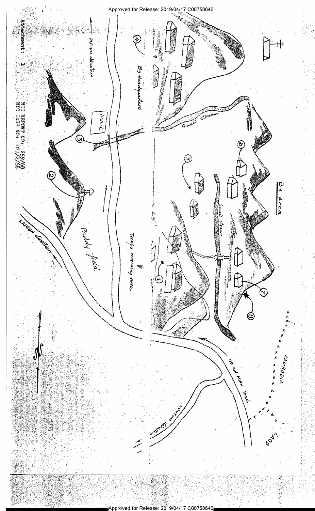